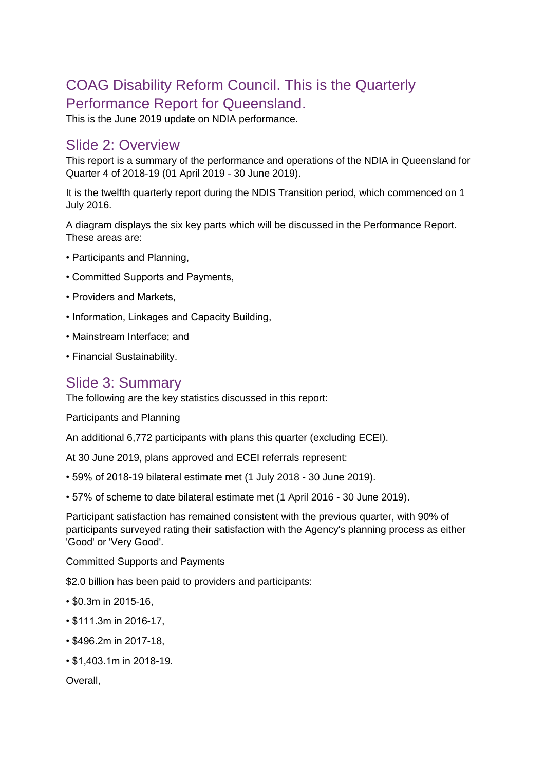# COAG Disability Reform Council. This is the Quarterly Performance Report for Queensland.

This is the June 2019 update on NDIA performance.

#### Slide 2: Overview

This report is a summary of the performance and operations of the NDIA in Queensland for Quarter 4 of 2018-19 (01 April 2019 - 30 June 2019).

It is the twelfth quarterly report during the NDIS Transition period, which commenced on 1 July 2016.

A diagram displays the six key parts which will be discussed in the Performance Report. These areas are:

- Participants and Planning,
- Committed Supports and Payments,
- Providers and Markets,
- Information, Linkages and Capacity Building,
- Mainstream Interface; and
- Financial Sustainability.

#### Slide 3: Summary

The following are the key statistics discussed in this report:

Participants and Planning

An additional 6,772 participants with plans this quarter (excluding ECEI).

At 30 June 2019, plans approved and ECEI referrals represent:

• 59% of 2018-19 bilateral estimate met (1 July 2018 - 30 June 2019).

• 57% of scheme to date bilateral estimate met (1 April 2016 - 30 June 2019).

Participant satisfaction has remained consistent with the previous quarter, with 90% of participants surveyed rating their satisfaction with the Agency's planning process as either 'Good' or 'Very Good'.

Committed Supports and Payments

\$2.0 billion has been paid to providers and participants:

- \$0.3m in 2015-16,
- \$111.3m in 2016-17,
- \$496.2m in 2017-18,
- \$1,403.1m in 2018-19.

Overall,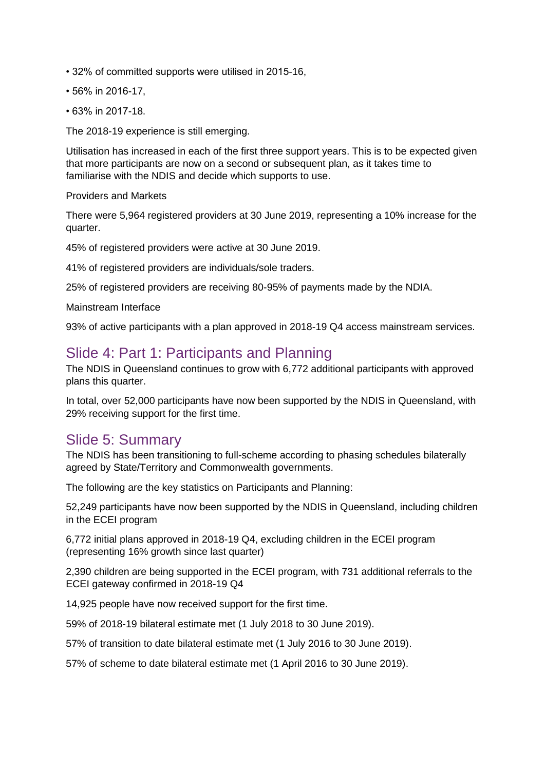- 32% of committed supports were utilised in 2015-16,
- 56% in 2016-17,
- 63% in 2017-18.

The 2018-19 experience is still emerging.

Utilisation has increased in each of the first three support years. This is to be expected given that more participants are now on a second or subsequent plan, as it takes time to familiarise with the NDIS and decide which supports to use.

Providers and Markets

There were 5,964 registered providers at 30 June 2019, representing a 10% increase for the quarter.

45% of registered providers were active at 30 June 2019.

41% of registered providers are individuals/sole traders.

25% of registered providers are receiving 80-95% of payments made by the NDIA.

Mainstream Interface

93% of active participants with a plan approved in 2018-19 Q4 access mainstream services.

#### Slide 4: Part 1: Participants and Planning

The NDIS in Queensland continues to grow with 6,772 additional participants with approved plans this quarter.

In total, over 52,000 participants have now been supported by the NDIS in Queensland, with 29% receiving support for the first time.

#### Slide 5: Summary

The NDIS has been transitioning to full-scheme according to phasing schedules bilaterally agreed by State/Territory and Commonwealth governments.

The following are the key statistics on Participants and Planning:

52,249 participants have now been supported by the NDIS in Queensland, including children in the ECEI program

6,772 initial plans approved in 2018-19 Q4, excluding children in the ECEI program (representing 16% growth since last quarter)

2,390 children are being supported in the ECEI program, with 731 additional referrals to the ECEI gateway confirmed in 2018-19 Q4

14,925 people have now received support for the first time.

59% of 2018-19 bilateral estimate met (1 July 2018 to 30 June 2019).

57% of transition to date bilateral estimate met (1 July 2016 to 30 June 2019).

57% of scheme to date bilateral estimate met (1 April 2016 to 30 June 2019).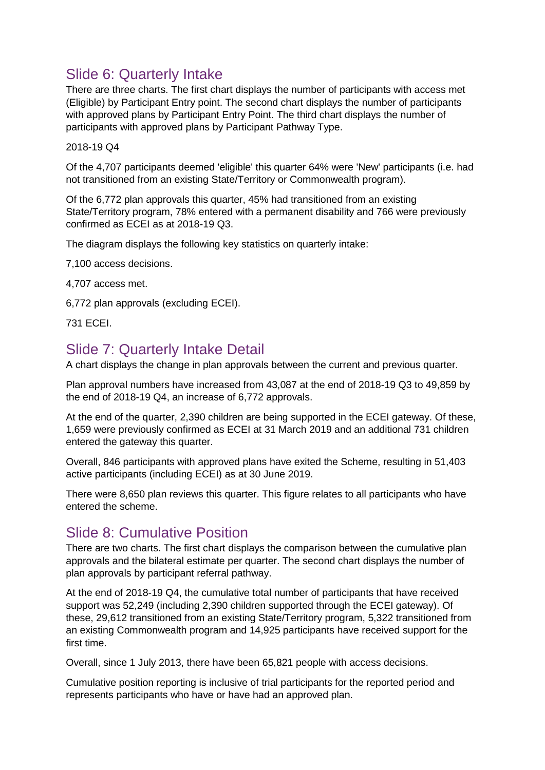### Slide 6: Quarterly Intake

There are three charts. The first chart displays the number of participants with access met (Eligible) by Participant Entry point. The second chart displays the number of participants with approved plans by Participant Entry Point. The third chart displays the number of participants with approved plans by Participant Pathway Type.

#### 2018-19 Q4

Of the 4,707 participants deemed 'eligible' this quarter 64% were 'New' participants (i.e. had not transitioned from an existing State/Territory or Commonwealth program).

Of the 6,772 plan approvals this quarter, 45% had transitioned from an existing State/Territory program, 78% entered with a permanent disability and 766 were previously confirmed as ECEI as at 2018-19 Q3.

The diagram displays the following key statistics on quarterly intake:

7,100 access decisions.

4,707 access met.

6,772 plan approvals (excluding ECEI).

731 ECEI.

### Slide 7: Quarterly Intake Detail

A chart displays the change in plan approvals between the current and previous quarter.

Plan approval numbers have increased from 43,087 at the end of 2018-19 Q3 to 49,859 by the end of 2018-19 Q4, an increase of 6,772 approvals.

At the end of the quarter, 2,390 children are being supported in the ECEI gateway. Of these, 1,659 were previously confirmed as ECEI at 31 March 2019 and an additional 731 children entered the gateway this quarter.

Overall, 846 participants with approved plans have exited the Scheme, resulting in 51,403 active participants (including ECEI) as at 30 June 2019.

There were 8,650 plan reviews this quarter. This figure relates to all participants who have entered the scheme.

### Slide 8: Cumulative Position

There are two charts. The first chart displays the comparison between the cumulative plan approvals and the bilateral estimate per quarter. The second chart displays the number of plan approvals by participant referral pathway.

At the end of 2018-19 Q4, the cumulative total number of participants that have received support was 52,249 (including 2,390 children supported through the ECEI gateway). Of these, 29,612 transitioned from an existing State/Territory program, 5,322 transitioned from an existing Commonwealth program and 14,925 participants have received support for the first time.

Overall, since 1 July 2013, there have been 65,821 people with access decisions.

Cumulative position reporting is inclusive of trial participants for the reported period and represents participants who have or have had an approved plan.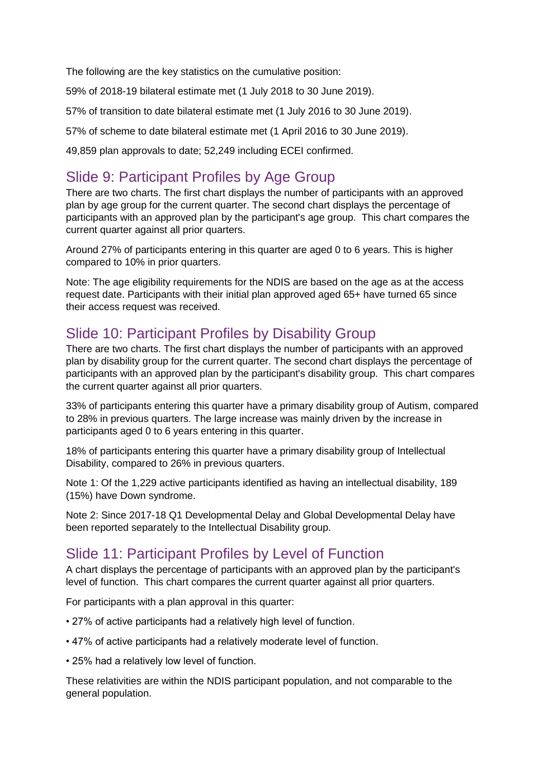The following are the key statistics on the cumulative position:

59% of 2018-19 bilateral estimate met (1 July 2018 to 30 June 2019).

57% of transition to date bilateral estimate met (1 July 2016 to 30 June 2019).

57% of scheme to date bilateral estimate met (1 April 2016 to 30 June 2019).

49,859 plan approvals to date; 52,249 including ECEI confirmed.

### Slide 9: Participant Profiles by Age Group

There are two charts. The first chart displays the number of participants with an approved plan by age group for the current quarter. The second chart displays the percentage of participants with an approved plan by the participant's age group. This chart compares the current quarter against all prior quarters.

Around 27% of participants entering in this quarter are aged 0 to 6 years. This is higher compared to 10% in prior quarters.

Note: The age eligibility requirements for the NDIS are based on the age as at the access request date. Participants with their initial plan approved aged 65+ have turned 65 since their access request was received.

# Slide 10: Participant Profiles by Disability Group

There are two charts. The first chart displays the number of participants with an approved plan by disability group for the current quarter. The second chart displays the percentage of participants with an approved plan by the participant's disability group. This chart compares the current quarter against all prior quarters.

33% of participants entering this quarter have a primary disability group of Autism, compared to 28% in previous quarters. The large increase was mainly driven by the increase in participants aged 0 to 6 years entering in this quarter.

18% of participants entering this quarter have a primary disability group of Intellectual Disability, compared to 26% in previous quarters.

Note 1: Of the 1,229 active participants identified as having an intellectual disability, 189 (15%) have Down syndrome.

Note 2: Since 2017-18 Q1 Developmental Delay and Global Developmental Delay have been reported separately to the Intellectual Disability group.

### Slide 11: Participant Profiles by Level of Function

A chart displays the percentage of participants with an approved plan by the participant's level of function. This chart compares the current quarter against all prior quarters.

For participants with a plan approval in this quarter:

- 27% of active participants had a relatively high level of function.
- 47% of active participants had a relatively moderate level of function.
- 25% had a relatively low level of function.

These relativities are within the NDIS participant population, and not comparable to the general population.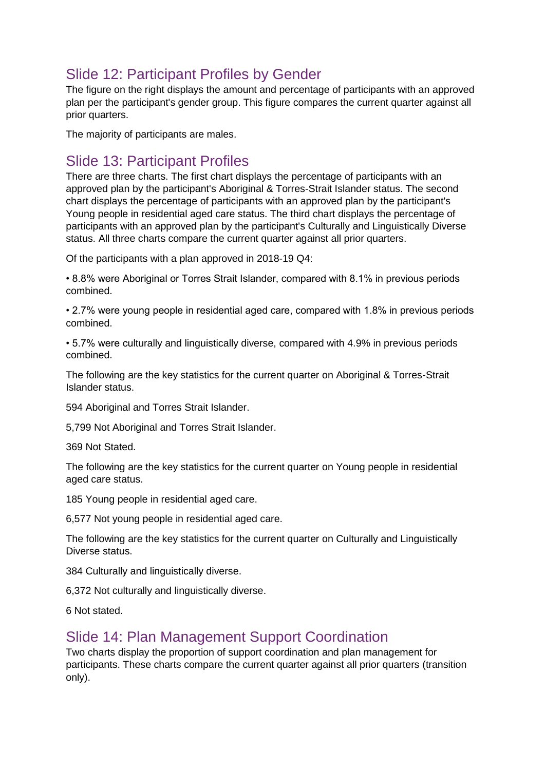# Slide 12: Participant Profiles by Gender

The figure on the right displays the amount and percentage of participants with an approved plan per the participant's gender group. This figure compares the current quarter against all prior quarters.

The majority of participants are males.

#### Slide 13: Participant Profiles

There are three charts. The first chart displays the percentage of participants with an approved plan by the participant's Aboriginal & Torres-Strait Islander status. The second chart displays the percentage of participants with an approved plan by the participant's Young people in residential aged care status. The third chart displays the percentage of participants with an approved plan by the participant's Culturally and Linguistically Diverse status. All three charts compare the current quarter against all prior quarters.

Of the participants with a plan approved in 2018-19 Q4:

• 8.8% were Aboriginal or Torres Strait Islander, compared with 8.1% in previous periods combined.

• 2.7% were young people in residential aged care, compared with 1.8% in previous periods combined.

• 5.7% were culturally and linguistically diverse, compared with 4.9% in previous periods combined.

The following are the key statistics for the current quarter on Aboriginal & Torres-Strait Islander status.

594 Aboriginal and Torres Strait Islander.

5,799 Not Aboriginal and Torres Strait Islander.

369 Not Stated.

The following are the key statistics for the current quarter on Young people in residential aged care status.

185 Young people in residential aged care.

6,577 Not young people in residential aged care.

The following are the key statistics for the current quarter on Culturally and Linguistically Diverse status.

384 Culturally and linguistically diverse.

6,372 Not culturally and linguistically diverse.

6 Not stated.

### Slide 14: Plan Management Support Coordination

Two charts display the proportion of support coordination and plan management for participants. These charts compare the current quarter against all prior quarters (transition only).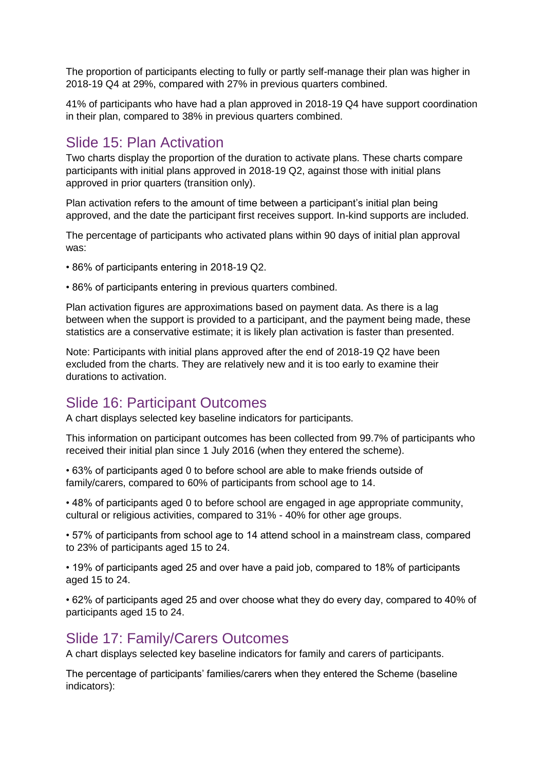The proportion of participants electing to fully or partly self-manage their plan was higher in 2018-19 Q4 at 29%, compared with 27% in previous quarters combined.

41% of participants who have had a plan approved in 2018-19 Q4 have support coordination in their plan, compared to 38% in previous quarters combined.

### Slide 15: Plan Activation

Two charts display the proportion of the duration to activate plans. These charts compare participants with initial plans approved in 2018-19 Q2, against those with initial plans approved in prior quarters (transition only).

Plan activation refers to the amount of time between a participant's initial plan being approved, and the date the participant first receives support. In-kind supports are included.

The percentage of participants who activated plans within 90 days of initial plan approval was:

- 86% of participants entering in 2018-19 Q2.
- 86% of participants entering in previous quarters combined.

Plan activation figures are approximations based on payment data. As there is a lag between when the support is provided to a participant, and the payment being made, these statistics are a conservative estimate; it is likely plan activation is faster than presented.

Note: Participants with initial plans approved after the end of 2018-19 Q2 have been excluded from the charts. They are relatively new and it is too early to examine their durations to activation.

#### Slide 16: Participant Outcomes

A chart displays selected key baseline indicators for participants.

This information on participant outcomes has been collected from 99.7% of participants who received their initial plan since 1 July 2016 (when they entered the scheme).

• 63% of participants aged 0 to before school are able to make friends outside of family/carers, compared to 60% of participants from school age to 14.

• 48% of participants aged 0 to before school are engaged in age appropriate community, cultural or religious activities, compared to 31% - 40% for other age groups.

• 57% of participants from school age to 14 attend school in a mainstream class, compared to 23% of participants aged 15 to 24.

• 19% of participants aged 25 and over have a paid job, compared to 18% of participants aged 15 to 24.

• 62% of participants aged 25 and over choose what they do every day, compared to 40% of participants aged 15 to 24.

#### Slide 17: Family/Carers Outcomes

A chart displays selected key baseline indicators for family and carers of participants.

The percentage of participants' families/carers when they entered the Scheme (baseline indicators):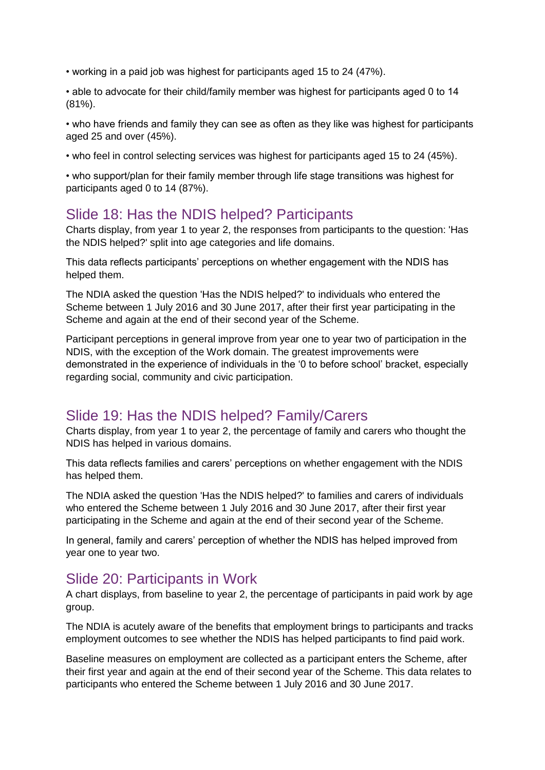• working in a paid job was highest for participants aged 15 to 24 (47%).

• able to advocate for their child/family member was highest for participants aged 0 to 14 (81%).

• who have friends and family they can see as often as they like was highest for participants aged 25 and over (45%).

• who feel in control selecting services was highest for participants aged 15 to 24 (45%).

• who support/plan for their family member through life stage transitions was highest for participants aged 0 to 14 (87%).

### Slide 18: Has the NDIS helped? Participants

Charts display, from year 1 to year 2, the responses from participants to the question: 'Has the NDIS helped?' split into age categories and life domains.

This data reflects participants' perceptions on whether engagement with the NDIS has helped them.

The NDIA asked the question 'Has the NDIS helped?' to individuals who entered the Scheme between 1 July 2016 and 30 June 2017, after their first year participating in the Scheme and again at the end of their second year of the Scheme.

Participant perceptions in general improve from year one to year two of participation in the NDIS, with the exception of the Work domain. The greatest improvements were demonstrated in the experience of individuals in the '0 to before school' bracket, especially regarding social, community and civic participation.

#### Slide 19: Has the NDIS helped? Family/Carers

Charts display, from year 1 to year 2, the percentage of family and carers who thought the NDIS has helped in various domains.

This data reflects families and carers' perceptions on whether engagement with the NDIS has helped them.

The NDIA asked the question 'Has the NDIS helped?' to families and carers of individuals who entered the Scheme between 1 July 2016 and 30 June 2017, after their first year participating in the Scheme and again at the end of their second year of the Scheme.

In general, family and carers' perception of whether the NDIS has helped improved from year one to year two.

### Slide 20: Participants in Work

A chart displays, from baseline to year 2, the percentage of participants in paid work by age group.

The NDIA is acutely aware of the benefits that employment brings to participants and tracks employment outcomes to see whether the NDIS has helped participants to find paid work.

Baseline measures on employment are collected as a participant enters the Scheme, after their first year and again at the end of their second year of the Scheme. This data relates to participants who entered the Scheme between 1 July 2016 and 30 June 2017.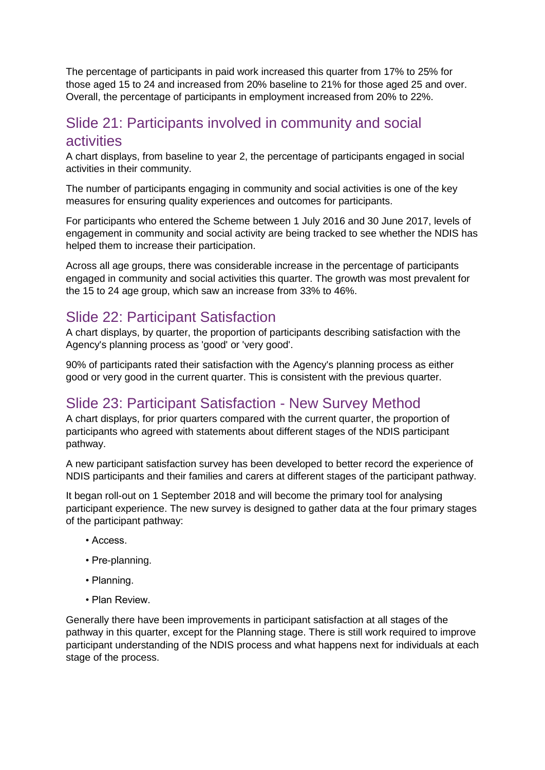The percentage of participants in paid work increased this quarter from 17% to 25% for those aged 15 to 24 and increased from 20% baseline to 21% for those aged 25 and over. Overall, the percentage of participants in employment increased from 20% to 22%.

#### Slide 21: Participants involved in community and social activities

A chart displays, from baseline to year 2, the percentage of participants engaged in social activities in their community.

The number of participants engaging in community and social activities is one of the key measures for ensuring quality experiences and outcomes for participants.

For participants who entered the Scheme between 1 July 2016 and 30 June 2017, levels of engagement in community and social activity are being tracked to see whether the NDIS has helped them to increase their participation.

Across all age groups, there was considerable increase in the percentage of participants engaged in community and social activities this quarter. The growth was most prevalent for the 15 to 24 age group, which saw an increase from 33% to 46%.

# Slide 22: Participant Satisfaction

A chart displays, by quarter, the proportion of participants describing satisfaction with the Agency's planning process as 'good' or 'very good'.

90% of participants rated their satisfaction with the Agency's planning process as either good or very good in the current quarter. This is consistent with the previous quarter.

### Slide 23: Participant Satisfaction - New Survey Method

A chart displays, for prior quarters compared with the current quarter, the proportion of participants who agreed with statements about different stages of the NDIS participant pathway.

A new participant satisfaction survey has been developed to better record the experience of NDIS participants and their families and carers at different stages of the participant pathway.

It began roll-out on 1 September 2018 and will become the primary tool for analysing participant experience. The new survey is designed to gather data at the four primary stages of the participant pathway:

- Access.
- Pre-planning.
- Planning.
- Plan Review.

Generally there have been improvements in participant satisfaction at all stages of the pathway in this quarter, except for the Planning stage. There is still work required to improve participant understanding of the NDIS process and what happens next for individuals at each stage of the process.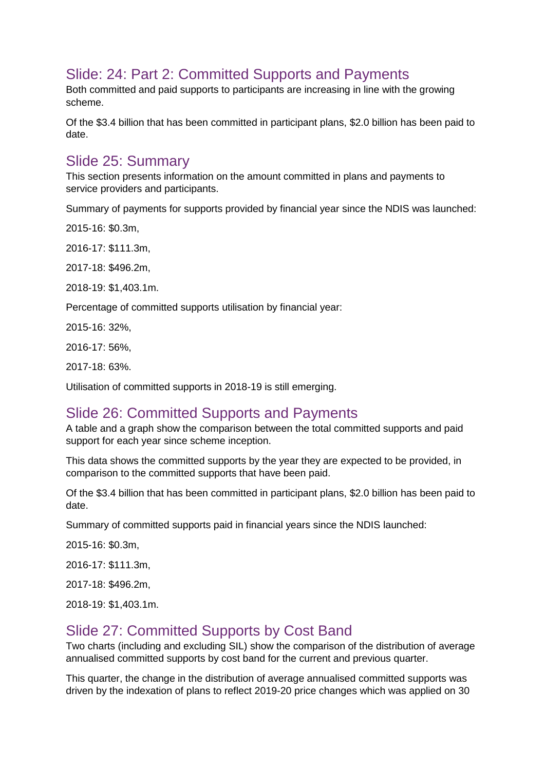### Slide: 24: Part 2: Committed Supports and Payments

Both committed and paid supports to participants are increasing in line with the growing scheme.

Of the \$3.4 billion that has been committed in participant plans, \$2.0 billion has been paid to date.

#### Slide 25: Summary

This section presents information on the amount committed in plans and payments to service providers and participants.

Summary of payments for supports provided by financial year since the NDIS was launched:

2015-16: \$0.3m,

2016-17: \$111.3m,

2017-18: \$496.2m,

2018-19: \$1,403.1m.

Percentage of committed supports utilisation by financial year:

2015-16: 32%,

2016-17: 56%,

2017-18: 63%.

Utilisation of committed supports in 2018-19 is still emerging.

#### Slide 26: Committed Supports and Payments

A table and a graph show the comparison between the total committed supports and paid support for each year since scheme inception.

This data shows the committed supports by the year they are expected to be provided, in comparison to the committed supports that have been paid.

Of the \$3.4 billion that has been committed in participant plans, \$2.0 billion has been paid to date.

Summary of committed supports paid in financial years since the NDIS launched:

2015-16: \$0.3m,

2016-17: \$111.3m,

2017-18: \$496.2m,

2018-19: \$1,403.1m.

### Slide 27: Committed Supports by Cost Band

Two charts (including and excluding SIL) show the comparison of the distribution of average annualised committed supports by cost band for the current and previous quarter.

This quarter, the change in the distribution of average annualised committed supports was driven by the indexation of plans to reflect 2019-20 price changes which was applied on 30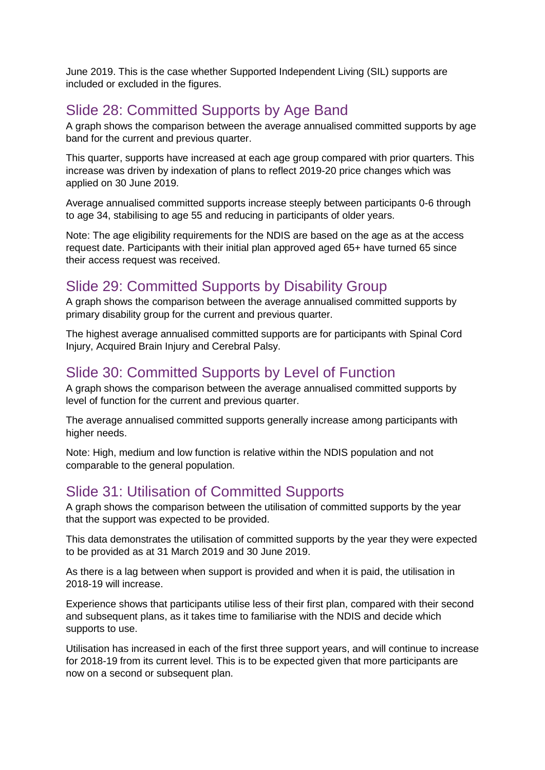June 2019. This is the case whether Supported Independent Living (SIL) supports are included or excluded in the figures.

### Slide 28: Committed Supports by Age Band

A graph shows the comparison between the average annualised committed supports by age band for the current and previous quarter.

This quarter, supports have increased at each age group compared with prior quarters. This increase was driven by indexation of plans to reflect 2019-20 price changes which was applied on 30 June 2019.

Average annualised committed supports increase steeply between participants 0-6 through to age 34, stabilising to age 55 and reducing in participants of older years.

Note: The age eligibility requirements for the NDIS are based on the age as at the access request date. Participants with their initial plan approved aged 65+ have turned 65 since their access request was received.

### Slide 29: Committed Supports by Disability Group

A graph shows the comparison between the average annualised committed supports by primary disability group for the current and previous quarter.

The highest average annualised committed supports are for participants with Spinal Cord Injury, Acquired Brain Injury and Cerebral Palsy.

### Slide 30: Committed Supports by Level of Function

A graph shows the comparison between the average annualised committed supports by level of function for the current and previous quarter.

The average annualised committed supports generally increase among participants with higher needs.

Note: High, medium and low function is relative within the NDIS population and not comparable to the general population.

#### Slide 31: Utilisation of Committed Supports

A graph shows the comparison between the utilisation of committed supports by the year that the support was expected to be provided.

This data demonstrates the utilisation of committed supports by the year they were expected to be provided as at 31 March 2019 and 30 June 2019.

As there is a lag between when support is provided and when it is paid, the utilisation in 2018-19 will increase.

Experience shows that participants utilise less of their first plan, compared with their second and subsequent plans, as it takes time to familiarise with the NDIS and decide which supports to use.

Utilisation has increased in each of the first three support years, and will continue to increase for 2018-19 from its current level. This is to be expected given that more participants are now on a second or subsequent plan.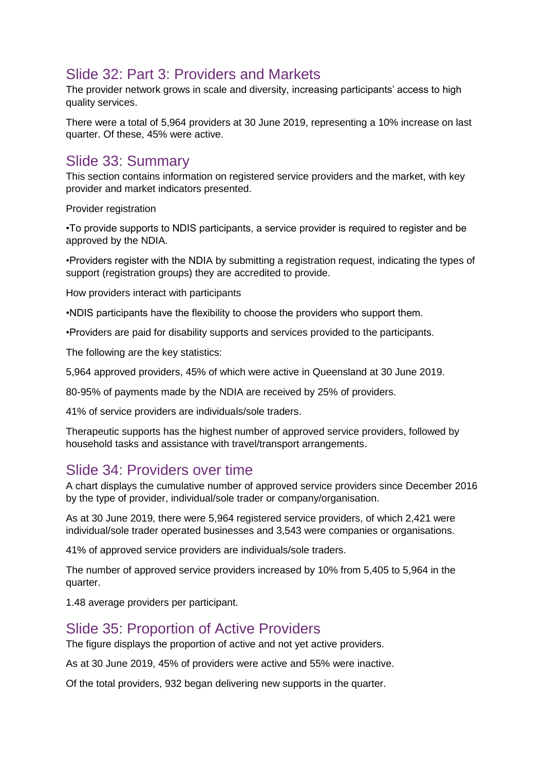### Slide 32: Part 3: Providers and Markets

The provider network grows in scale and diversity, increasing participants' access to high quality services.

There were a total of 5,964 providers at 30 June 2019, representing a 10% increase on last quarter. Of these, 45% were active.

#### Slide 33: Summary

This section contains information on registered service providers and the market, with key provider and market indicators presented.

Provider registration

•To provide supports to NDIS participants, a service provider is required to register and be approved by the NDIA.

•Providers register with the NDIA by submitting a registration request, indicating the types of support (registration groups) they are accredited to provide.

How providers interact with participants

•NDIS participants have the flexibility to choose the providers who support them.

•Providers are paid for disability supports and services provided to the participants.

The following are the key statistics:

5,964 approved providers, 45% of which were active in Queensland at 30 June 2019.

80-95% of payments made by the NDIA are received by 25% of providers.

41% of service providers are individuals/sole traders.

Therapeutic supports has the highest number of approved service providers, followed by household tasks and assistance with travel/transport arrangements.

### Slide 34: Providers over time

A chart displays the cumulative number of approved service providers since December 2016 by the type of provider, individual/sole trader or company/organisation.

As at 30 June 2019, there were 5,964 registered service providers, of which 2,421 were individual/sole trader operated businesses and 3,543 were companies or organisations.

41% of approved service providers are individuals/sole traders.

The number of approved service providers increased by 10% from 5,405 to 5,964 in the quarter.

1.48 average providers per participant.

#### Slide 35: Proportion of Active Providers

The figure displays the proportion of active and not yet active providers.

As at 30 June 2019, 45% of providers were active and 55% were inactive.

Of the total providers, 932 began delivering new supports in the quarter.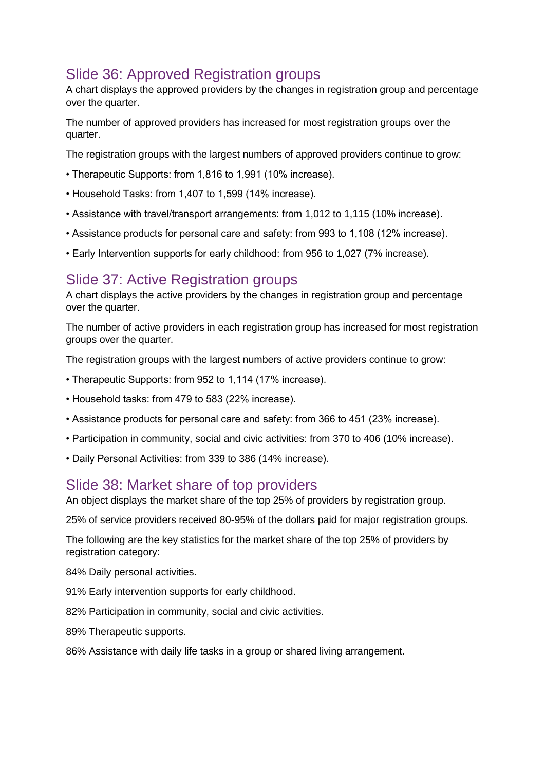### Slide 36: Approved Registration groups

A chart displays the approved providers by the changes in registration group and percentage over the quarter.

The number of approved providers has increased for most registration groups over the quarter.

The registration groups with the largest numbers of approved providers continue to grow:

- Therapeutic Supports: from 1,816 to 1,991 (10% increase).
- Household Tasks: from 1,407 to 1,599 (14% increase).
- Assistance with travel/transport arrangements: from 1,012 to 1,115 (10% increase).
- Assistance products for personal care and safety: from 993 to 1,108 (12% increase).
- Early Intervention supports for early childhood: from 956 to 1,027 (7% increase).

#### Slide 37: Active Registration groups

A chart displays the active providers by the changes in registration group and percentage over the quarter.

The number of active providers in each registration group has increased for most registration groups over the quarter.

The registration groups with the largest numbers of active providers continue to grow:

- Therapeutic Supports: from 952 to 1,114 (17% increase).
- Household tasks: from 479 to 583 (22% increase).
- Assistance products for personal care and safety: from 366 to 451 (23% increase).
- Participation in community, social and civic activities: from 370 to 406 (10% increase).
- Daily Personal Activities: from 339 to 386 (14% increase).

#### Slide 38: Market share of top providers

An object displays the market share of the top 25% of providers by registration group.

25% of service providers received 80-95% of the dollars paid for major registration groups.

The following are the key statistics for the market share of the top 25% of providers by registration category:

- 84% Daily personal activities.
- 91% Early intervention supports for early childhood.
- 82% Participation in community, social and civic activities.
- 89% Therapeutic supports.
- 86% Assistance with daily life tasks in a group or shared living arrangement.